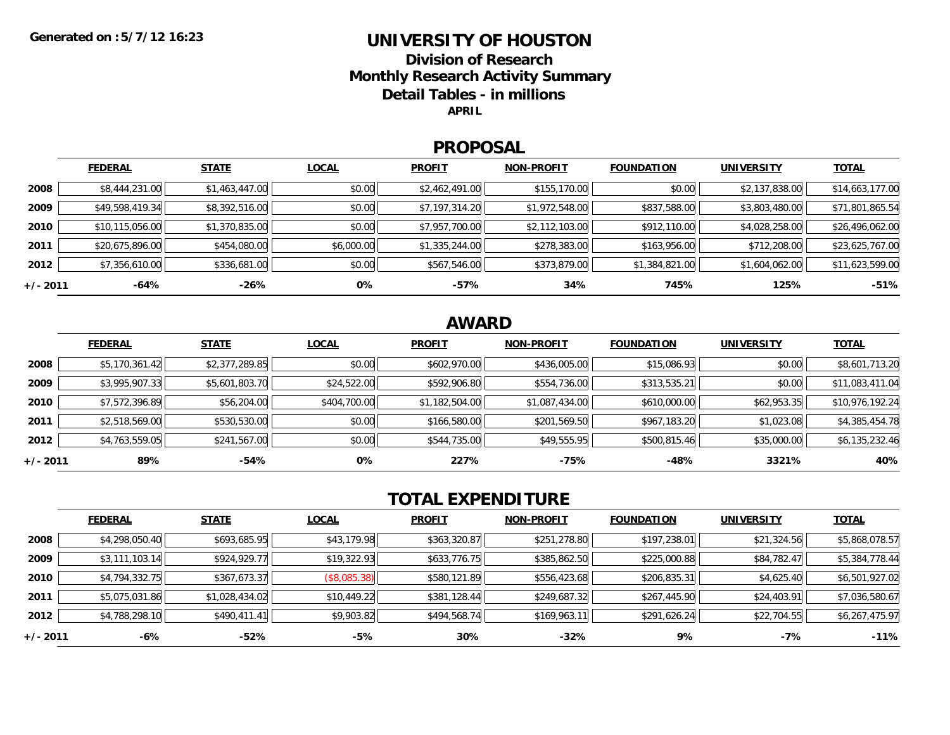### **UNIVERSITY OF HOUSTON**

**Division of ResearchMonthly Research Activity Summary Detail Tables - in millions APRIL**

#### **PROPOSAL**

|            | <b>FEDERAL</b>  | <b>STATE</b>   | <b>LOCAL</b> | <b>PROFIT</b>  | <b>NON-PROFIT</b> | <b>FOUNDATION</b> | <b>UNIVERSITY</b> | <u>TOTAL</u>    |
|------------|-----------------|----------------|--------------|----------------|-------------------|-------------------|-------------------|-----------------|
| 2008       | \$8,444,231.00  | \$1,463,447.00 | \$0.00       | \$2,462,491.00 | \$155,170.00      | \$0.00            | \$2,137,838.00    | \$14,663,177.00 |
| 2009       | \$49,598,419.34 | \$8,392,516.00 | \$0.00       | \$7,197,314.20 | \$1,972,548.00    | \$837,588.00      | \$3,803,480.00    | \$71,801,865.54 |
| 2010       | \$10,115,056.00 | \$1,370,835.00 | \$0.00       | \$7,957,700.00 | \$2,112,103.00    | \$912,110.00      | \$4,028,258.00    | \$26,496,062.00 |
| 2011       | \$20,675,896.00 | \$454,080.00   | \$6,000.00   | \$1,335,244.00 | \$278,383.00      | \$163,956.00      | \$712,208.00      | \$23,625,767.00 |
| 2012       | \$7,356,610.00  | \$336,681.00   | \$0.00       | \$567,546.00   | \$373,879.00      | \$1,384,821.00    | \$1,604,062.00    | \$11,623,599.00 |
| $+/- 2011$ | $-64%$          | -26%           | 0%           | $-57%$         | 34%               | 745%              | 125%              | $-51%$          |

## **AWARD**

|          | <b>FEDERAL</b> | <b>STATE</b>   | <b>LOCAL</b> | <b>PROFIT</b>  | <b>NON-PROFIT</b> | <b>FOUNDATION</b> | <b>UNIVERSITY</b> | <b>TOTAL</b>    |
|----------|----------------|----------------|--------------|----------------|-------------------|-------------------|-------------------|-----------------|
| 2008     | \$5,170,361.42 | \$2,377,289.85 | \$0.00       | \$602,970.00   | \$436,005.00      | \$15,086.93       | \$0.00            | \$8,601,713.20  |
| 2009     | \$3,995,907.33 | \$5,601,803.70 | \$24,522.00  | \$592,906.80   | \$554,736.00      | \$313,535.21      | \$0.00            | \$11,083,411.04 |
| 2010     | \$7,572,396.89 | \$56,204.00    | \$404,700.00 | \$1,182,504.00 | \$1,087,434.00    | \$610,000.00      | \$62,953.35       | \$10,976,192.24 |
| 2011     | \$2,518,569.00 | \$530,530.00   | \$0.00       | \$166,580.00   | \$201,569.50      | \$967,183.20      | \$1,023.08        | \$4,385,454.78  |
| 2012     | \$4,763,559.05 | \$241,567.00   | \$0.00       | \$544,735.00   | \$49,555.95       | \$500,815.46      | \$35,000.00       | \$6,135,232.46  |
| +/- 2011 | 89%            | $-54%$         | 0%           | 227%           | -75%              | $-48%$            | 3321%             | 40%             |

# **TOTAL EXPENDITURE**

|          | <b>FEDERAL</b> | <b>STATE</b>   | <b>LOCAL</b>        | <b>PROFIT</b> | <b>NON-PROFIT</b> | <b>FOUNDATION</b> | <b>UNIVERSITY</b> | <u>TOTAL</u>   |
|----------|----------------|----------------|---------------------|---------------|-------------------|-------------------|-------------------|----------------|
| 2008     | \$4,298,050.40 | \$693,685.95   | \$43,179.98         | \$363,320.87  | \$251,278.80      | \$197,238.01      | \$21,324.56       | \$5,868,078.57 |
| 2009     | \$3,111,103.14 | \$924,929.77   | \$19,322.93         | \$633,776.75  | \$385,862.50      | \$225,000.88      | \$84,782.47       | \$5,384,778.44 |
| 2010     | \$4,794,332.75 | \$367,673.37   | $($ \$8,085.38) $ $ | \$580,121.89  | \$556,423.68      | \$206,835.31      | \$4,625.40        | \$6,501,927.02 |
| 2011     | \$5,075,031.86 | \$1,028,434.02 | \$10,449.22         | \$381,128.44  | \$249,687.32      | \$267,445.90      | \$24,403.91       | \$7,036,580.67 |
| 2012     | \$4,788,298.10 | \$490,411.41   | \$9,903.82          | \$494,568.74  | \$169,963.11      | \$291,626.24      | \$22,704.55       | \$6,267,475.97 |
| +/- 2011 | -6%            | $-52%$         | -5%                 | 30%           | $-32%$            | 9%                | $-7\%$            | $-11%$         |